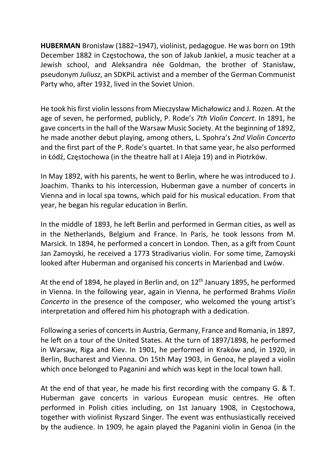HUBERMAN Bronisław (1882–1947), violinist, pedagogue. He was born on 19th December 1882 in Częstochowa, the son of Jakub Jankiel, a music teacher at a Jewish school, and Aleksandra née Goldman, the brother of Stanisław, pseudonym Juliusz, an SDKPiL activist and a member of the German Communist Party who, after 1932, lived in the Soviet Union.

He took his first violin lessons from Mieczysław Michałowicz and J. Rozen. At the age of seven, he performed, publicly, P. Rode's 7th Violin Concert. In 1891, he gave concerts in the hall of the Warsaw Music Society. At the beginning of 1892, he made another debut playing, among others, L. Spohra's 2nd Violin Concerto and the first part of the P. Rode's quartet. In that same year, he also performed in Łódź, Częstochowa (in the theatre hall at I Aleja 19) and in Piotrków.

In May 1892, with his parents, he went to Berlin, where he was introduced to J. Joachim. Thanks to his intercession, Huberman gave a number of concerts in Vienna and in local spa towns, which paid for his musical education. From that year, he began his regular education in Berlin.

In the middle of 1893, he left Berlin and performed in German cities, as well as in the Netherlands, Belgium and France. In Paris, he took lessons from M. Marsick. In 1894, he performed a concert in London. Then, as a gift from Count Jan Zamoyski, he received a 1773 Stradivarius violin. For some time, Zamoyski looked after Huberman and organised his concerts in Marienbad and Lwów.

At the end of 1894, he played in Berlin and, on  $12<sup>th</sup>$  January 1895, he performed in Vienna. In the following year, again in Vienna, he performed Brahms Violin Concerto in the presence of the composer, who welcomed the young artist's interpretation and offered him his photograph with a dedication.

Following a series of concerts in Austria, Germany, France and Romania, in 1897, he left on a tour of the United States. At the turn of 1897/1898, he performed in Warsaw, Riga and Kiev. In 1901, he performed in Kraków and, in 1920, in Berlin, Bucharest and Vienna. On 15th May 1903, in Genoa, he played a violin which once belonged to Paganini and which was kept in the local town hall.

At the end of that year, he made his first recording with the company G. & T. Huberman gave concerts in various European music centres. He often performed in Polish cities including, on 1st January 1908, in Częstochowa, together with violinist Ryszard Singer. The event was enthusiastically received by the audience. In 1909, he again played the Paganini violin in Genoa (in the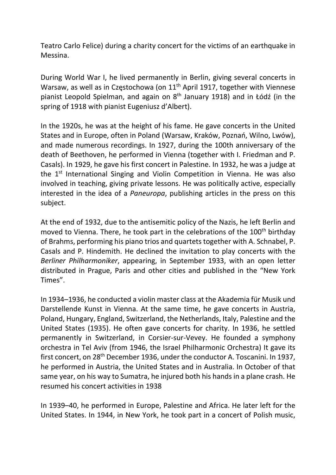Teatro Carlo Felice) during a charity concert for the victims of an earthquake in Messina.

During World War I, he lived permanently in Berlin, giving several concerts in Warsaw, as well as in Częstochowa (on 11<sup>th</sup> April 1917, together with Viennese pianist Leopold Spielman, and again on 8<sup>th</sup> January 1918) and in Łódź (in the spring of 1918 with pianist Eugeniusz d'Albert).

In the 1920s, he was at the height of his fame. He gave concerts in the United States and in Europe, often in Poland (Warsaw, Kraków, Poznań, Wilno, Lwów), and made numerous recordings. In 1927, during the 100th anniversary of the death of Beethoven, he performed in Vienna (together with I. Friedman and P. Casals). In 1929, he gave his first concert in Palestine. In 1932, he was a judge at the 1<sup>st</sup> International Singing and Violin Competition in Vienna. He was also involved in teaching, giving private lessons. He was politically active, especially interested in the idea of a Paneuropa, publishing articles in the press on this subject.

At the end of 1932, due to the antisemitic policy of the Nazis, he left Berlin and moved to Vienna. There, he took part in the celebrations of the 100<sup>th</sup> birthday of Brahms, performing his piano trios and quartets together with A. Schnabel, P. Casals and P. Hindemith. He declined the invitation to play concerts with the Berliner Philharmoniker, appearing, in September 1933, with an open letter distributed in Prague, Paris and other cities and published in the "New York Times".

In 1934–1936, he conducted a violin master class at the Akademia für Musik und Darstellende Kunst in Vienna. At the same time, he gave concerts in Austria, Poland, Hungary, England, Switzerland, the Netherlands, Italy, Palestine and the United States (1935). He often gave concerts for charity. In 1936, he settled permanently in Switzerland, in Corsier-sur-Vevey. He founded a symphony orchestra in Tel Aviv (from 1946, the Israel Philharmonic Orchestra) It gave its first concert, on 28<sup>th</sup> December 1936, under the conductor A. Toscanini. In 1937, he performed in Austria, the United States and in Australia. In October of that same year, on his way to Sumatra, he injured both his hands in a plane crash. He resumed his concert activities in 1938

In 1939–40, he performed in Europe, Palestine and Africa. He later left for the United States. In 1944, in New York, he took part in a concert of Polish music,